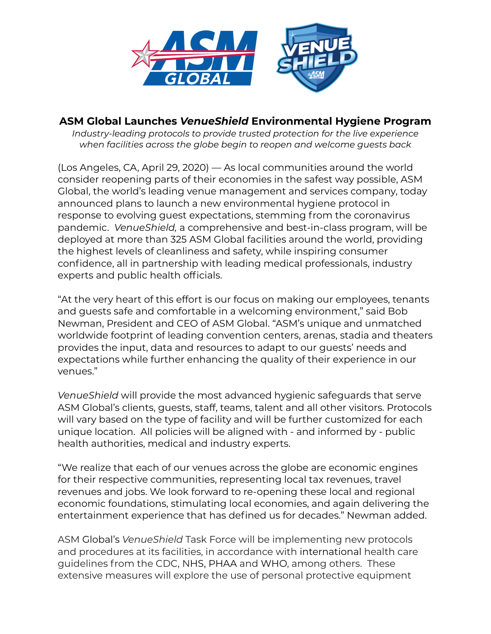

## **ASM Global Launches** *VenueShield* **Environmental Hygiene Program**

*Industry-leading protocols to provide trusted protection for the live experience when facilities across the globe begin to reopen and welcome guests back*

(Los Angeles, CA, April 29, 2020) — As local communities around the world consider reopening parts of their economies in the safest way possible, ASM Global, the world's leading venue management and services company, today announced plans to launch a new environmental hygiene protocol in response to evolving guest expectations, stemming from the coronavirus pandemic. *VenueShield,* a comprehensive and best-in-class program, will be deployed at more than 325 ASM Global facilities around the world, providing the highest levels of cleanliness and safety, while inspiring consumer confidence, all in partnership with leading medical professionals, industry experts and public health officials.

"At the very heart of this effort is our focus on making our employees, tenants and guests safe and comfortable in a welcoming environment," said Bob Newman, President and CEO of ASM Global. "ASM's unique and unmatched worldwide footprint of leading convention centers, arenas, stadia and theaters provides the input, data and resources to adapt to our guests' needs and expectations while further enhancing the quality of their experience in our venues."

*VenueShield* will provide the most advanced hygienic safeguards that serve ASM Global's clients, guests, staff, teams, talent and all other visitors. Protocols will vary based on the type of facility and will be further customized for each unique location. All policies will be aligned with - and informed by - public health authorities, medical and industry experts.

"We realize that each of our venues across the globe are economic engines for their respective communities, representing local tax revenues, travel revenues and jobs. We look forward to re-opening these local and regional economic foundations, stimulating local economies, and again delivering the entertainment experience that has defined us for decades." Newman added.

ASM Global's *VenueShield* Task Force will be implementing new protocols and procedures at its facilities, in accordance with international health care guidelines from the CDC, NHS, PHAA and WHO, among others. These extensive measures will explore the use of personal protective equipment